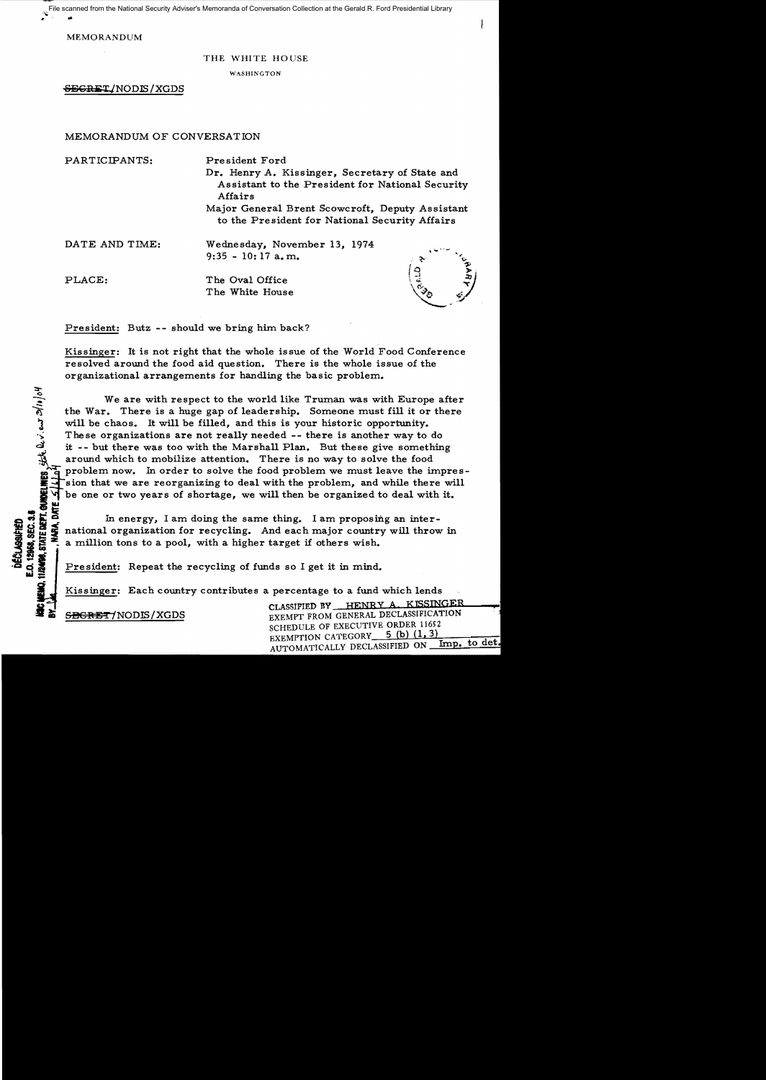.. '~ .. File scanned from the National Security Adviser's Memoranda of Conversation Collection at the Gerald R. Ford Presidential Library

MEMORANDUM

### THE WHITE HOUSE

WASHINGTON

SEGREI/NODIS / XGDS

# MEMORANDUM OF CONVERSATION

PARTICIPANTS: President Ford Dr. Henry A. Kissinger, Secretary of State and Assistant to the President for National Security Affairs Major General Brent Scowcroft, Deputy Assistant

to the President for National Security Affairs

DATE AND TIME: Wednesday, November 13, 1974 9:35 - 10: 17 a. m.

<u>হ</u>

.<br>2. ext<br>2. ext<br>2. ext<br>2. ext<br>2. ext<br>2. ext<br>2. ext<br>2. ext<br>2. ext<br>2. ext<br>2. ext<br>2. ext<br>2. ext<br>2. ext<br>2. ext<br>2. ext<br>2. ext<br>2. ext<br>2. ext<br>2. ext<br>2. ext<br>2. ext<br>2. ext<br>2. ext<br>2. ext<br>2. ext<br>2. ext<br>2. ext<br>2.

**ECLASS**<br>1296.63

PLACE: The Oval Office The White House



President: Butz -- should we bring him back?

Kissinger: It is not right that the whole issue of the World Food Conference resolved around the food aid question. There is the whole issue of the organizational arrangements for handling the basic problem.

We are with respect to the world like Truman was with Europe after the War. There is a huge gap of leadership. Someone must fill it or there will be chaos. It will be filled, and this is your historic opportunity. These organizations are not really needed -- there is another way to do it -- but there was too with the Marshall Plan. But these give something around which to mobilize attention. There is no way to solve the food problem now. In order to solve the food problem we must leave the impres-IF sion that we are reorganizing to deal with the problem, and while there will be one or two years of shortage, we will then be organized to deal with it.

comparison in energy, I am doing the same thing. I am proposing an inter-<br>comparison of the same thing. And each major country will throw<br>decrease a million tons to a pool, with a higher target if others wish.<br>The same int national organization for recycling. And each major country will throw in a million tons to a pool, with a higher target if others wish.

ed President: Repeat the recycling of funds so I get it in mind.<br> **all President:** Repeat the recycling of funds so I get it in mind.<br> **ALL Rissinger:** Each country contributes a percentage to a fund

SEGRET/NODIS/XGDS

CLASSIFIED BY HENRY A. KISSINGER EXEMPT FROM GENERAL DECLASSIFICATION SCHEDULE OF EXECUTIVE ORDER 11652 EXEMPTION CATEGORY 5 (b) (1, 3) Imp. to det. AUTOMATICALLY DECLASSIFIED ON\_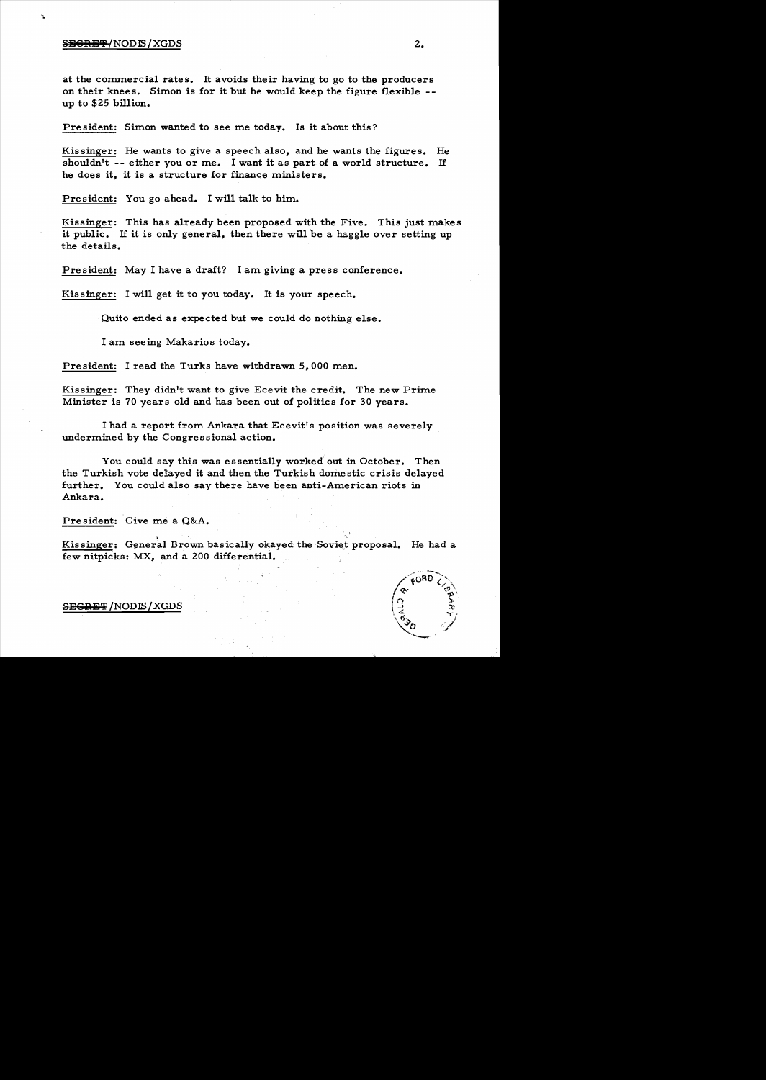#### **if**  $\frac{1}{2}$  **iii**  $\frac{1}{2}$  **2.**

at the commercial rates. It avoids their having to go to the producers on their knees. Simon is for it but he would keep the figure flexible -up to \$25 billion.

President: Simon wanted to see me today. Is it about this?

Kissinger: He wants to give a speech also, and he wants the figures. shouldn't -- either you or me. I want it as part of a world structure. If he does it, it is a structure for finance ministers. He

President: You go ahead. I will talk to him..

Kissinger: This has already been proposed with the Five. This just makes it public. If it is only general, then there will be a haggle over setting up the details.

President: May I have a draft? I am giving a press conference.

Kissinger: I will get it to you today. It is your speech.

Quito ended as expected but we could do nothing else.

I am. seeing Makarios today.

President: I read the Turks have withdrawn 5,000 men.

Kissinger: They didn't want to give Ecevit the credit. The new Prime Minister is 70 years old and has been out of politics for 30 years.

I had a report from. Ankara that Ecevit's position was severely undermined by the Congressional action.

You could say this was essentially worked' out in October. Then the Turkish vote delayed it and then the Turkish domestic crisis delayed further. You could also say there have been anti-American riots in Ankara.

President: Give me a Q&A.

.<br>.<br>. Kissinger: General Brown basically okayed the Soviet proposal. He had a few nitpicks: MX, and a 200 differential.



<del>SECRET</del> /NODIS / XGDS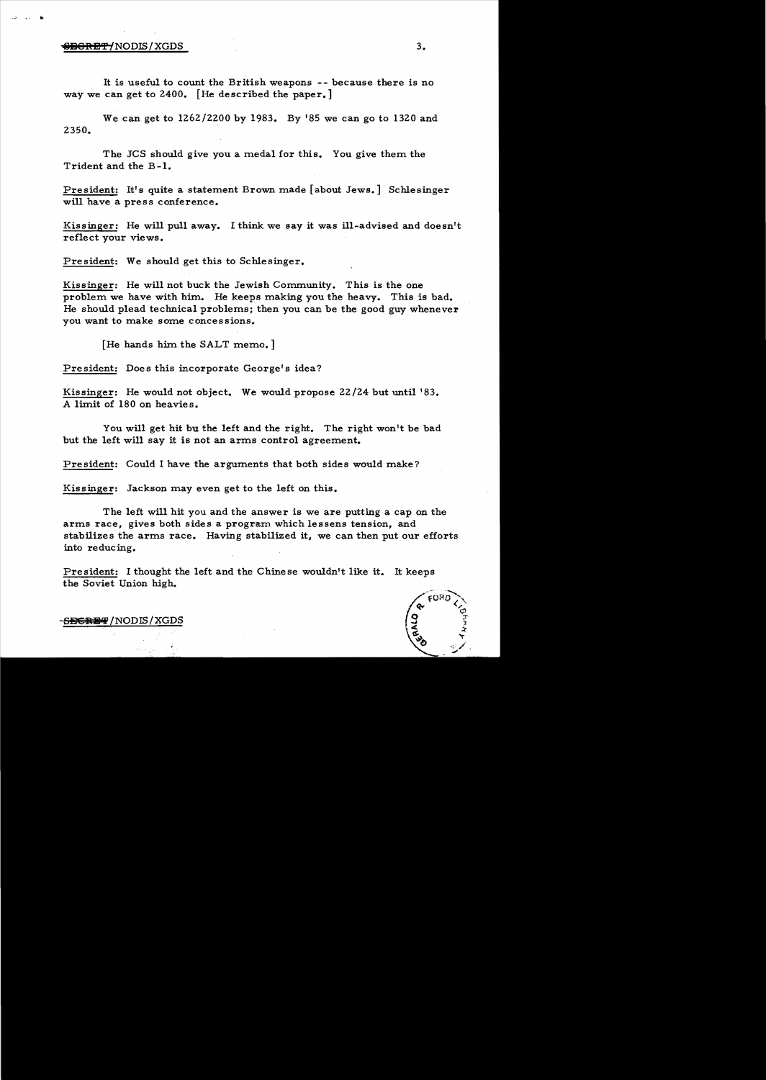#### iiifiGR<del>BCRET/</del>NODIS/XGDS 3.

It is useful to count the British weapons - - because there is no way we can get to 2400. [He described the paper.]

We can get to 1262/2200 by 1983. By 185 we can go to 1320 and 2350.

The JCS should give you a medal for this. You give them the Trident and the B-1.

President: It's quite a statement Brown made [about Jews.] Schlesinger will have a press conference.

Kissinger: He will pull away. I think we say it was ill-advised and doesn't reflect your views.

President: We should get this to Schlesinger.

Kissinger: He will not buck the Jewish Community. This is the one problem we have with him. He keeps making you the heavy. This is bad. He should plead technical problems; then you can be the good guy whenever you want to make some concessions.

[He hands him the SALT memo.]

President: Does this incorporate George's idea?

Kissinger: He would not object. We would propose 22/24 but until '83. A limit of 180 on heavies.

You will get hit bu the left and the right. The right won't be bad but the left will say it is not an arms control agreement.

President: Could I have the arguments that both sides would make?

Kissinger: Jackson may even get to the left on this.

The left will hit you and the answer is we are putting a cap on the arms race, gives both sides a program which lessens tension, and stabilizes the arms race. Having stabilized it, we can then put our efforts into re duc ing.

President: I thought the left and the Chinese wouldn't like it. It keeps the Soviet Union high.



<del>SECRET</del> /NODIS/XGDS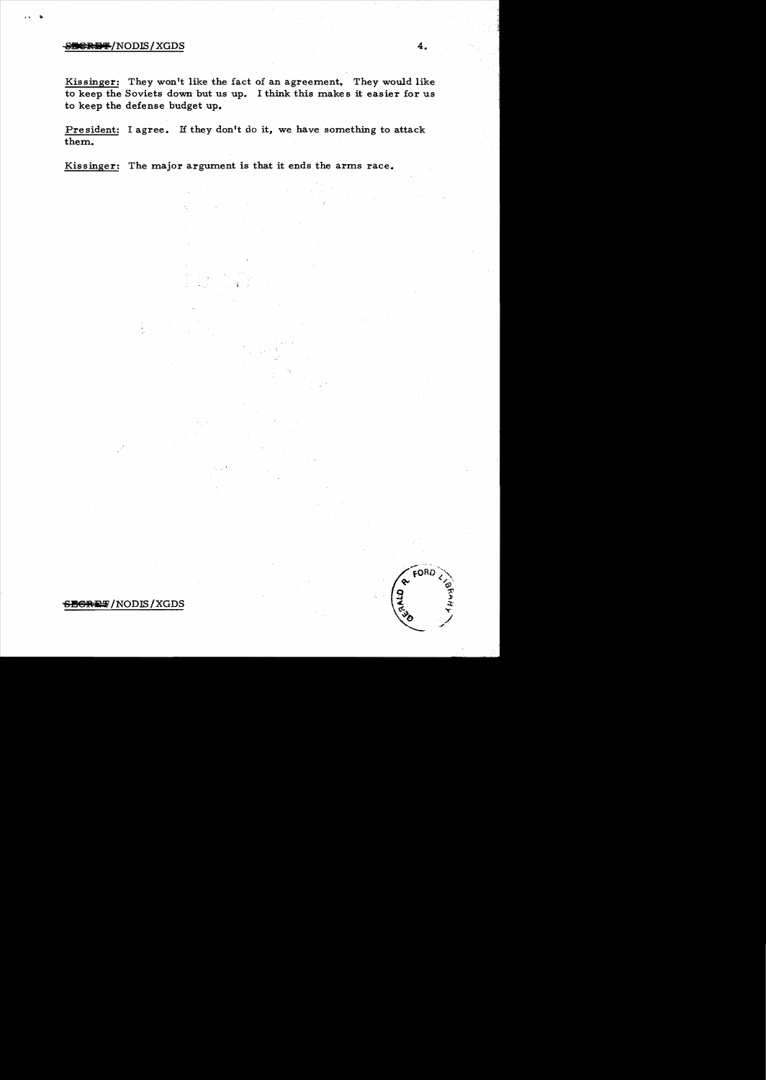## **811 CHERET ASSESSED ASSESSED A 4.**

 $\cdots$ 

Kissinger: They won't like the fact of an agreement. They would like to keep the Soviets down but us up. I think this makes it easier for us to keep the defense budget up.

President: I agree. If they don't do it, we have something to attack them.

Kissinger: The major argument is that it ends the arms race.

FORD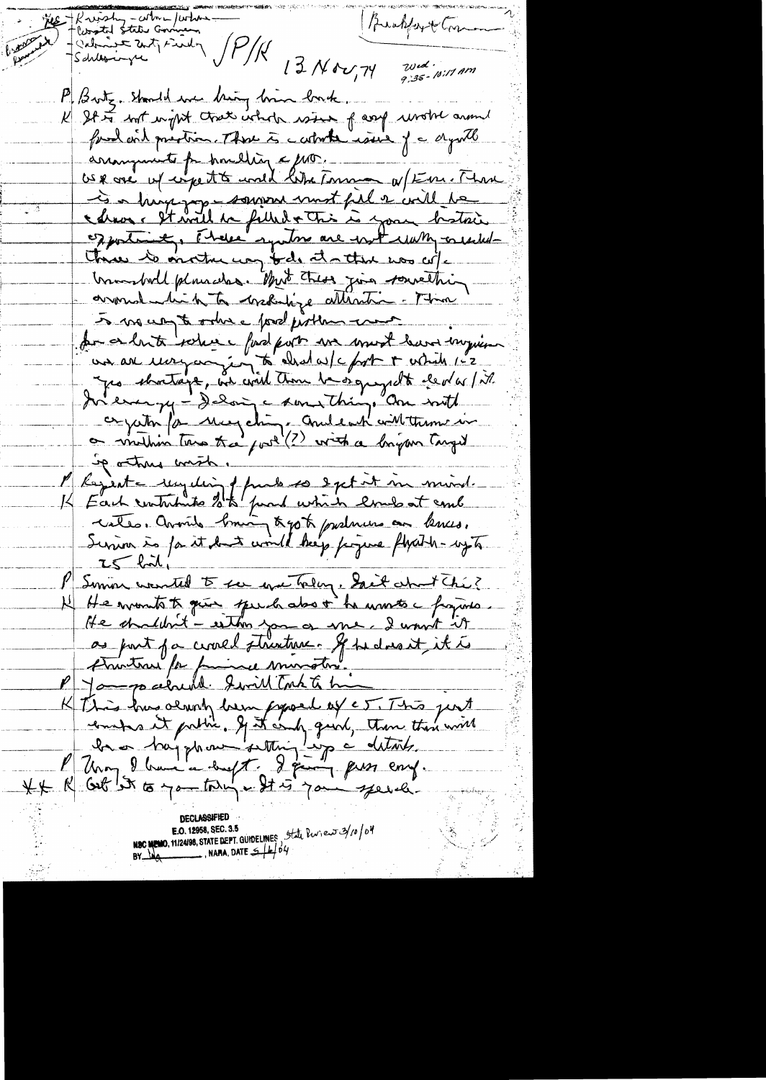Me Kristy-colore / color Brahfort Common - Calmine Zutz Findy JP/K 13 Nov, 74  $20cd$ <br>9:35 - 10:11 Am P. Brotz. Should we bring him bork. K St to not with chat whole wind f any wrote around fred with prestice. There is catarter issue of a dynich arrangements for homeling a pro. US & over up engette und like Tomme a Fin. Than I a high joy somme must fil a vill de exportantly, There syntoms are with with considerthree to onother way tods at a that was w/c transhold plausches. Must these join sourething. around bit to creditize attention. There 5 mai un to ordre pod problem comme de ce bute solere pod port un most bar impin<br>an au moyan in a chalas/c fort + which 1-2<br>a pa shortage, an coul time be organizable elevent in In everyon de Magchine aune Things and with Sparting with. l' Kejeste reguling phase so extit in mind. K Each contribute 2 to part which loves at come cates. Avail brain tyste pushuma au bences.<br>Servira às fait dus could beg poque flexible syte  $25 - 621$ I Somin wanted to see even tolay. Sait about the? If He wounts to guess speech also i he wants a fragines He shouldn't - eston you a me I want it as part for crosed structure. If he doesn't it is P Jametrau for familie muratin. K This has derung laun popoel of e5. This pent XX R Get It to you thing a St is you you a **E.O. 12958, SEC. 3.5**<br>**NSC MEMO, 11/24/98, STATE DEPT. GUIDELINES** 5tate Part of 124/0/04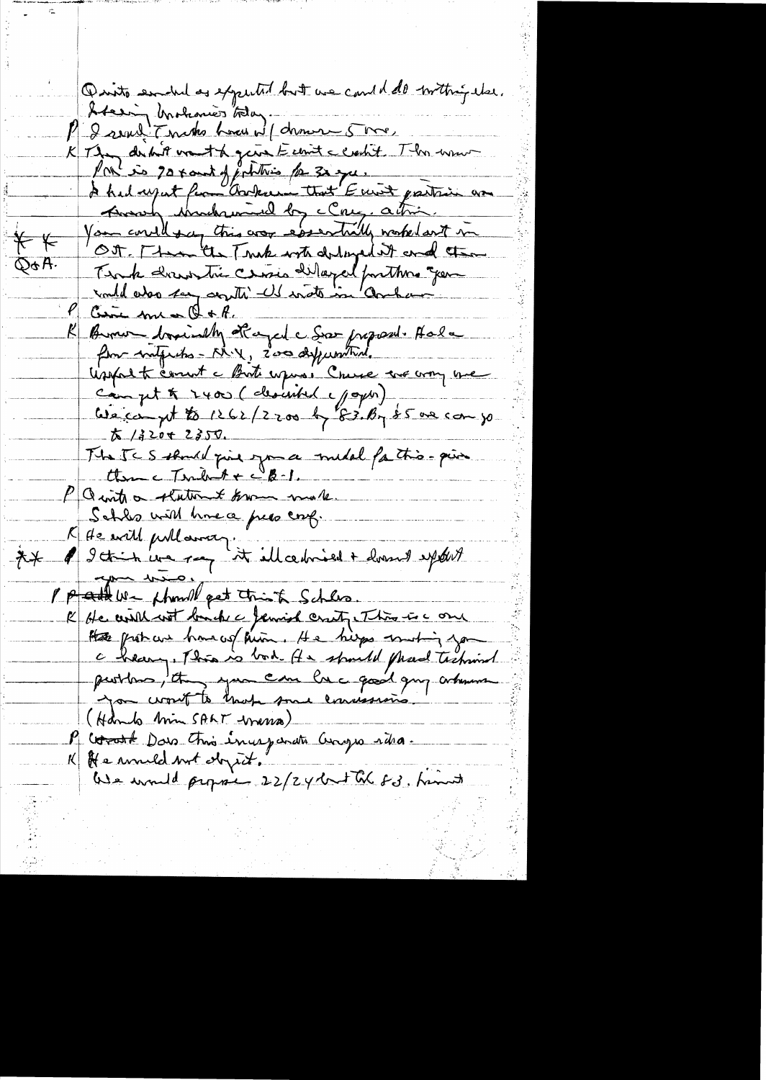Quito endules expected but we could do inthis dee. Steering Unohanier Stag. I real Tenato home wil deman 5 me K They dertilt want to gene Eclient clocht. This women Port is 70 x and of fortitions for 30 que. Among Montranal by clay, action. Your correll this was essentially worked out in  $\overleftarrow{+}-$ Ott. [ term the Truk with dilinged it and the Q&A. Timb dernontre cersis délapel pontters gen Give me & of Burner boximally of aged a Soo proposed. Hala Usepart comment a Bort upons : Cruse are comp une Campt & 2400 (clesisted your)  $X/22042350$ The TCS should give you a middle fathis - pin  $t_{\text{time}}$ c Tarbut +  $c_{\text{B-1}}$ PQ into a statement known make. Schles with home a press conf. I de will publismen."<br>I Ittish we ray it illerbried + hvornt spoket  $*$ P pattern thank pat think Schles. K He will with banche c Jemind craty This is a one Hate protocur have us him. He hips musting you c beaug, This is bod . He spould plead technist you wont to have some concession (Hands him SALT were P Corat Dans Ani inceparate Congress ritra. K He would not doyed. We would propose 22/24 but the 83. hims